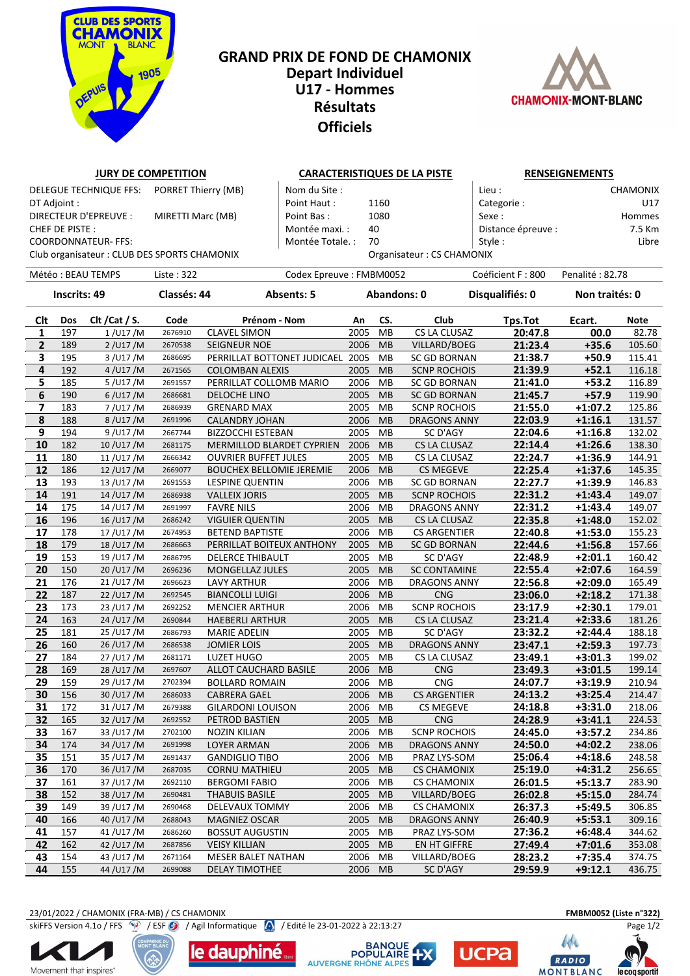

## L FUN*D* DL CHAMO **Depart Individuel U17 - Hommes Résultats Officiels**

**JURY DE COMPETITION CARACTERISTIQUES DE LA PISTE RENSEIGNEMENTS** DELEGUE TECHNIQUE FFS: PORRET Thierry (MB) Nom du Site : Lieu : Lieu : Lieu : CHAMONIX



## DT Adjoint : Point Haut : 1160 Categorie : U17 DIRECTEUR D'EPREUVE : MIRETTI Marc (MB) | Point Bas : 1080 | Sexe : Hommes CHEF DE PISTE : The PISTE : The Montée maxi. : 40 Distance épreuve : 7.5 Km COORDONNATEUR- FFS: The State of the Montée Totale. : 70 Style : Style : Libre Club organisateur : CLUB DES SPORTS CHAMONIX Organisateur : CS CHAMONIX Météo : BEAU TEMPS Liste : 322 Codex Epreuve : FMBM0052 Coéficient F : 800 Penalité : 82.78 **Inscrits: 49 Classés: 44 Absents: 5 Abandons: 0 Disqualifiés: 0 Non traités: 0 Clt Dos Clt /Cat / S. Code Prénom - Nom An CS. Club Tps.Tot Ecart. Note** 197 1 /U17 /M <sup>2676910</sup> CLAVEL SIMON 2005 MB CS LA CLUSAZ **20:47.8 00.0** 82.78 189 2 /U17 /M <sup>2670538</sup> SEIGNEUR NOE 2006 MB VILLARD/BOEG **21:23.4 +35.6** 105.60 195 3 /U17 /M <sup>2686695</sup> PERRILLAT BOTTONET JUDICAEL 2005 MB SC GD BORNAN **21:38.7 +50.9** 115.41 192 4 /U17 /M <sup>2671565</sup> COLOMBAN ALEXIS 2005 MB SCNP ROCHOIS **21:39.9 +52.1** 116.18 185 5 /U17 /M 2691557 PERRILLAT COLLOMB MARIO 2006 MB SC GD BORNAN **21:41.0 +53.2** 116.89 190 6 /U17 /M <sup>2686681</sup> DELOCHE LINO 2005 MB SC GD BORNAN **21:45.7 +57.9** 119.90 183 7 /U17 /M <sup>2686939</sup> GRENARD MAX 2005 MB SCNP ROCHOIS **21:55.0 +1:07.2** 125.86 188 8 /U17 /M <sup>2691996</sup> CALANDRY JOHAN 2006 MB DRAGONS ANNY **22:03.9 +1:16.1** 131.57 194 9 /U17 /M <sup>2667744</sup> BIZZOCCHI ESTEBAN 2005 MB SC D'AGY **22:04.6 +1:16.8** 132.02 182 10 /U17 /M <sup>2681175</sup> MERMILLOD BLARDET CYPRIEN 2006 MB CS LA CLUSAZ **22:14.4 +1:26.6** 138.30 180 11 /U17 /M <sup>2666342</sup> OUVRIER BUFFET JULES 2005 MB CS LA CLUSAZ **22:24.7 +1:36.9** 144.91 186 12 /U17 /M <sup>2669077</sup> BOUCHEX BELLOMIE JEREMIE 2006 MB CS MEGEVE **22:25.4 +1:37.6** 145.35 193 13 /U17 /M <sup>2691553</sup> LESPINE QUENTIN 2006 MB SC GD BORNAN **22:27.7 +1:39.9** 146.83 191 14 /U17 /M <sup>2686938</sup> VALLEIX JORIS 2005 MB SCNP ROCHOIS **22:31.2 +1:43.4** 149.07 175 14 /U17 /M <sup>2691997</sup> FAVRE NILS 2006 MB DRAGONS ANNY **22:31.2 +1:43.4** 149.07 196 16 /U17 /M <sup>2686242</sup> VIGUIER QUENTIN 2005 MB CS LA CLUSAZ **22:35.8 +1:48.0** 152.02 178 17 /U17 /M <sup>2674953</sup> BETEND BAPTISTE 2006 MB CS ARGENTIER **22:40.8 +1:53.0** 155.23 179 18 /U17 /M <sup>2686663</sup> PERRILLAT BOITEUX ANTHONY 2005 MB SC GD BORNAN **22:44.6 +1:56.8** 157.66 153 19 /U17 /M <sup>2686795</sup> DELERCE THIBAULT 2005 MB SC D'AGY **22:48.9 +2:01.1** 160.42 150 20 /U17 /M <sup>2696236</sup> MONGELLAZ JULES 2005 MB SC CONTAMINE **22:55.4 +2:07.6** 164.59 176 21 /U17 /M <sup>2696623</sup> LAVY ARTHUR 2006 MB DRAGONS ANNY **22:56.8 +2:09.0** 165.49 187 22 /U17 /M <sup>2692545</sup> BIANCOLLI LUIGI 2006 MB CNG **23:06.0 +2:18.2** 171.38 173 23 /U17 /M <sup>2692252</sup> MENCIER ARTHUR 2006 MB SCNP ROCHOIS **23:17.9 +2:30.1** 179.01 163 24 /U17 /M <sup>2690844</sup> HAEBERLI ARTHUR 2005 MB CS LA CLUSAZ **23:21.4 +2:33.6** 181.26 181 25 /U17 /M <sup>2686793</sup> MARIE ADELIN 2005 MB SC D'AGY **23:32.2 +2:44.4** 188.18 160 26 /U17 /M <sup>2686538</sup> JOMIER LOIS 2005 MB DRAGONS ANNY **23:47.1 +2:59.3** 197.73 184 27 /U17 /M <sup>2681171</sup> LUZET HUGO 2005 MB CS LA CLUSAZ **23:49.1 +3:01.3** 199.02 169 28 /U17 /M <sup>2697607</sup> ALLOT CAUCHARD BASILE 2006 MB CNG **23:49.3 +3:01.5** 199.14 159 29 /U17 /M <sup>2702394</sup> BOLLARD ROMAIN 2006 MB CNG **24:07.7 +3:19.9** 210.94 156 30 /U17 /M <sup>2686033</sup> CABRERA GAEL 2006 MB CS ARGENTIER **24:13.2 +3:25.4** 214.47 172 31 /U17 /M <sup>2679388</sup> GILARDONI LOUISON 2006 MB CS MEGEVE **24:18.8 +3:31.0** 218.06 165 32 /U17 /M <sup>2692552</sup> PETROD BASTIEN 2005 MB CNG **24:28.9 +3:41.1** 224.53 167 33 /U17 /M <sup>2702100</sup> NOZIN KILIAN 2006 MB SCNP ROCHOIS **24:45.0 +3:57.2** 234.86 174 34 /U17 /M <sup>2691998</sup> LOYER ARMAN 2006 MB DRAGONS ANNY **24:50.0 +4:02.2** 238.06 151 35 /U17 /M <sup>2691437</sup> GANDIGLIO TIBO 2006 MB PRAZ LYS-SOM **25:06.4 +4:18.6** 248.58 170 36 /U17 /M <sup>2687035</sup> CORNU MATHIEU 2005 MB CS CHAMONIX **25:19.0 +4:31.2** 256.65 161 37 /U17 /M <sup>2692110</sup> BERGOMI FABIO 2006 MB CS CHAMONIX **26:01.5 +5:13.7** 283.90 152 38 /U17 /M <sup>2690481</sup> THABUIS BASILE 2005 MB VILLARD/BOEG **26:02.8 +5:15.0** 284.74 149 39 /U17 /M <sup>2690468</sup> DELEVAUX TOMMY 2006 MB CS CHAMONIX **26:37.3 +5:49.5** 306.85 166 40 /U17 /M <sup>2688043</sup> MAGNIEZ OSCAR 2005 MB DRAGONS ANNY **26:40.9 +5:53.1** 309.16 157 41 /U17 /M <sup>2686260</sup> BOSSUT AUGUSTIN 2005 MB PRAZ LYS-SOM **27:36.2 +6:48.4** 344.62 162 42 /U17 /M <sup>2687856</sup> VEISY KILLIAN 2005 MB EN HT GIFFRE **27:49.4 +7:01.6** 353.08

23/01/2022 / CHAMONIX (FRA-MB) / CS CHAMONIX **FMBM0052 (Liste n°322)** skiFFS Version 4.1o / FFS  $\bigcirc$  / ESF  $\bigcirc$  / Agil Informatique  $\bigcirc$  / Edité le 23-01-2022 à 22:13:27 Page 1/2

Movement that inspires

le dauphiné



 154 43 /U17 /M <sup>2671164</sup> MESER BALET NATHAN 2006 MB VILLARD/BOEG **28:23.2 +7:35.4** 374.75 155 44 /U17 /M <sup>2699088</sup> DELAY TIMOTHEE 2006 MB SC D'AGY **29:59.9 +9:12.1** 436.75